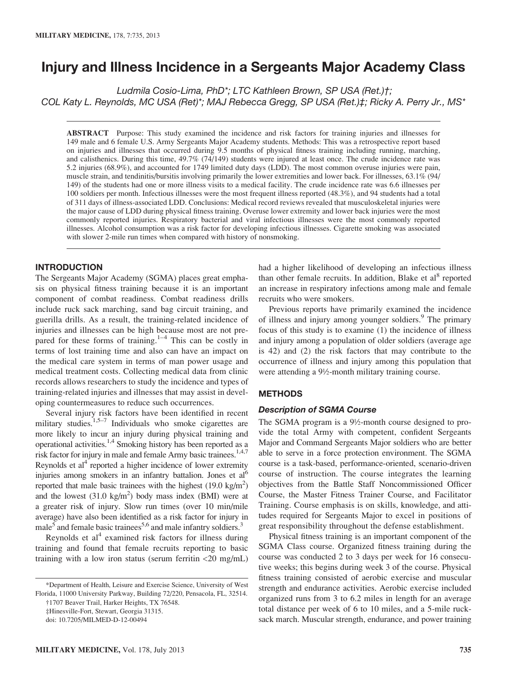# Injury and Illness Incidence in a Sergeants Major Academy Class

Ludmila Cosio-Lima, PhD\*; LTC Kathleen Brown, SP USA (Ret.)†; COL Katy L. Reynolds, MC USA (Ret)\*; MAJ Rebecca Gregg, SP USA (Ret.)‡; Ricky A. Perry Jr., MS\*

ABSTRACT Purpose: This study examined the incidence and risk factors for training injuries and illnesses for 149 male and 6 female U.S. Army Sergeants Major Academy students. Methods: This was a retrospective report based on injuries and illnesses that occurred during 9.5 months of physical fitness training including running, marching, and calisthenics. During this time, 49.7% (74/149) students were injured at least once. The crude incidence rate was 5.2 injuries (68.9%), and accounted for 1749 limited duty days (LDD). The most common overuse injuries were pain, muscle strain, and tendinitis/bursitis involving primarily the lower extremities and lower back. For illnesses, 63.1% (94/ 149) of the students had one or more illness visits to a medical facility. The crude incidence rate was 6.6 illnesses per 100 soldiers per month. Infectious illnesses were the most frequent illness reported (48.3%), and 94 students had a total of 311 days of illness-associated LDD. Conclusions: Medical record reviews revealed that musculoskeletal injuries were the major cause of LDD during physical fitness training. Overuse lower extremity and lower back injuries were the most commonly reported injuries. Respiratory bacterial and viral infectious illnesses were the most commonly reported illnesses. Alcohol consumption was a risk factor for developing infectious illnesses. Cigarette smoking was associated with slower 2-mile run times when compared with history of nonsmoking.

#### INTRODUCTION

The Sergeants Major Academy (SGMA) places great emphasis on physical fitness training because it is an important component of combat readiness. Combat readiness drills include ruck sack marching, sand bag circuit training, and guerilla drills. As a result, the training-related incidence of injuries and illnesses can be high because most are not prepared for these forms of training.<sup>1–4</sup> This can be costly in terms of lost training time and also can have an impact on the medical care system in terms of man power usage and medical treatment costs. Collecting medical data from clinic records allows researchers to study the incidence and types of training-related injuries and illnesses that may assist in developing countermeasures to reduce such occurrences.

Several injury risk factors have been identified in recent military studies.<sup>1,5–7</sup> Individuals who smoke cigarettes are more likely to incur an injury during physical training and operational activities.<sup>1,4</sup> Smoking history has been reported as a risk factor for injury in male and female Army basic trainees.<sup>1,4,7</sup> Reynolds et al<sup>4</sup> reported a higher incidence of lower extremity injuries among smokers in an infantry battalion. Jones et al<sup>6</sup> reported that male basic trainees with the highest  $(19.0 \text{ kg/m}^2)$ and the lowest  $(31.0 \text{ kg/m}^2)$  body mass index (BMI) were at a greater risk of injury. Slow run times (over 10 min/mile average) have also been identified as a risk factor for injury in male<sup>5</sup> and female basic trainees<sup>5,6</sup> and male infantry soldiers.<sup>3</sup>

Reynolds et al<sup>4</sup> examined risk factors for illness during training and found that female recruits reporting to basic training with a low iron status (serum ferritin <20 mg/mL)

†1707 Beaver Trail, Harker Heights, TX 76548. ‡Hinesville-Fort, Stewart, Georgia 31315.

had a higher likelihood of developing an infectious illness than other female recruits. In addition, Blake et al<sup>8</sup> reported an increase in respiratory infections among male and female recruits who were smokers.

Previous reports have primarily examined the incidence of illness and injury among younger soldiers.<sup>9</sup> The primary focus of this study is to examine (1) the incidence of illness and injury among a population of older soldiers (average age is 42) and (2) the risk factors that may contribute to the occurrence of illness and injury among this population that were attending a 9½-month military training course.

### METHODS

### Description of SGMA Course

The SGMA program is a 9½-month course designed to provide the total Army with competent, confident Sergeants Major and Command Sergeants Major soldiers who are better able to serve in a force protection environment. The SGMA course is a task-based, performance-oriented, scenario-driven course of instruction. The course integrates the learning objectives from the Battle Staff Noncommissioned Officer Course, the Master Fitness Trainer Course, and Facilitator Training. Course emphasis is on skills, knowledge, and attitudes required for Sergeants Major to excel in positions of great responsibility throughout the defense establishment.

Physical fitness training is an important component of the SGMA Class course. Organized fitness training during the course was conducted 2 to 3 days per week for 16 consecutive weeks; this begins during week 3 of the course. Physical fitness training consisted of aerobic exercise and muscular strength and endurance activities. Aerobic exercise included organized runs from 3 to 6.2 miles in length for an average total distance per week of 6 to 10 miles, and a 5-mile rucksack march. Muscular strength, endurance, and power training

<sup>\*</sup>Department of Health, Leisure and Exercise Science, University of West Florida, 11000 University Parkway, Building 72/220, Pensacola, FL, 32514.

doi: 10.7205/MILMED-D-12-00494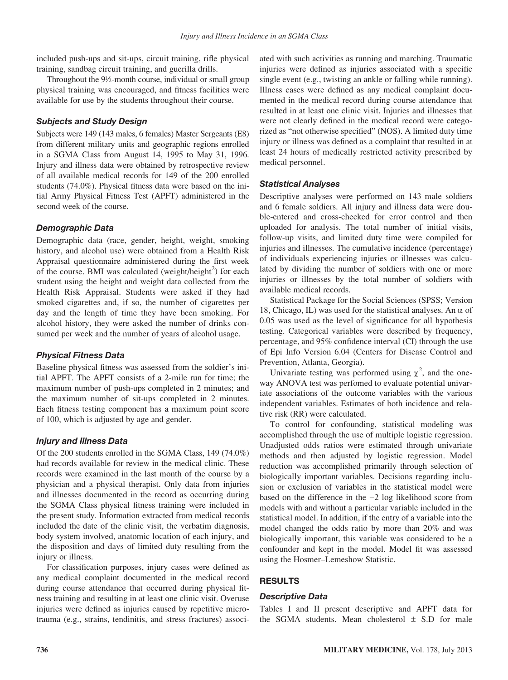included push-ups and sit-ups, circuit training, rifle physical training, sandbag circuit training, and guerilla drills.

Throughout the 9½-month course, individual or small group physical training was encouraged, and fitness facilities were available for use by the students throughout their course.

## Subjects and Study Design

Subjects were 149 (143 males, 6 females) Master Sergeants (E8) from different military units and geographic regions enrolled in a SGMA Class from August 14, 1995 to May 31, 1996. Injury and illness data were obtained by retrospective review of all available medical records for 149 of the 200 enrolled students (74.0%). Physical fitness data were based on the initial Army Physical Fitness Test (APFT) administered in the second week of the course.

## Demographic Data

Demographic data (race, gender, height, weight, smoking history, and alcohol use) were obtained from a Health Risk Appraisal questionnaire administered during the first week of the course. BMI was calculated (weight/height<sup>2</sup>) for each student using the height and weight data collected from the Health Risk Appraisal. Students were asked if they had smoked cigarettes and, if so, the number of cigarettes per day and the length of time they have been smoking. For alcohol history, they were asked the number of drinks consumed per week and the number of years of alcohol usage.

## Physical Fitness Data

Baseline physical fitness was assessed from the soldier's initial APFT. The APFT consists of a 2-mile run for time; the maximum number of push-ups completed in 2 minutes; and the maximum number of sit-ups completed in 2 minutes. Each fitness testing component has a maximum point score of 100, which is adjusted by age and gender.

# Injury and Illness Data

Of the 200 students enrolled in the SGMA Class, 149 (74.0%) had records available for review in the medical clinic. These records were examined in the last month of the course by a physician and a physical therapist. Only data from injuries and illnesses documented in the record as occurring during the SGMA Class physical fitness training were included in the present study. Information extracted from medical records included the date of the clinic visit, the verbatim diagnosis, body system involved, anatomic location of each injury, and the disposition and days of limited duty resulting from the injury or illness.

For classification purposes, injury cases were defined as any medical complaint documented in the medical record during course attendance that occurred during physical fitness training and resulting in at least one clinic visit. Overuse injuries were defined as injuries caused by repetitive microtrauma (e.g., strains, tendinitis, and stress fractures) associated with such activities as running and marching. Traumatic injuries were defined as injuries associated with a specific single event (e.g., twisting an ankle or falling while running). Illness cases were defined as any medical complaint documented in the medical record during course attendance that resulted in at least one clinic visit. Injuries and illnesses that were not clearly defined in the medical record were categorized as "not otherwise specified" (NOS). A limited duty time injury or illness was defined as a complaint that resulted in at least 24 hours of medically restricted activity prescribed by medical personnel.

# Statistical Analyses

Descriptive analyses were performed on 143 male soldiers and 6 female soldiers. All injury and illness data were double-entered and cross-checked for error control and then uploaded for analysis. The total number of initial visits, follow-up visits, and limited duty time were compiled for injuries and illnesses. The cumulative incidence (percentage) of individuals experiencing injuries or illnesses was calculated by dividing the number of soldiers with one or more injuries or illnesses by the total number of soldiers with available medical records.

Statistical Package for the Social Sciences (SPSS; Version 18, Chicago, IL) was used for the statistical analyses. An  $\alpha$  of 0.05 was used as the level of significance for all hypothesis testing. Categorical variables were described by frequency, percentage, and 95% confidence interval (CI) through the use of Epi Info Version 6.04 (Centers for Disease Control and Prevention, Atlanta, Georgia).

Univariate testing was performed using  $\chi^2$ , and the oneway ANOVA test was perfomed to evaluate potential univariate associations of the outcome variables with the various independent variables. Estimates of both incidence and relative risk (RR) were calculated.

To control for confounding, statistical modeling was accomplished through the use of multiple logistic regression. Unadjusted odds ratios were estimated through univariate methods and then adjusted by logistic regression. Model reduction was accomplished primarily through selection of biologically important variables. Decisions regarding inclusion or exclusion of variables in the statistical model were based on the difference in the −2 log likelihood score from models with and without a particular variable included in the statistical model. In addition, if the entry of a variable into the model changed the odds ratio by more than 20% and was biologically important, this variable was considered to be a confounder and kept in the model. Model fit was assessed using the Hosmer–Lemeshow Statistic.

# RESULTS

## Descriptive Data

Tables I and II present descriptive and APFT data for the SGMA students. Mean cholesterol ± S.D for male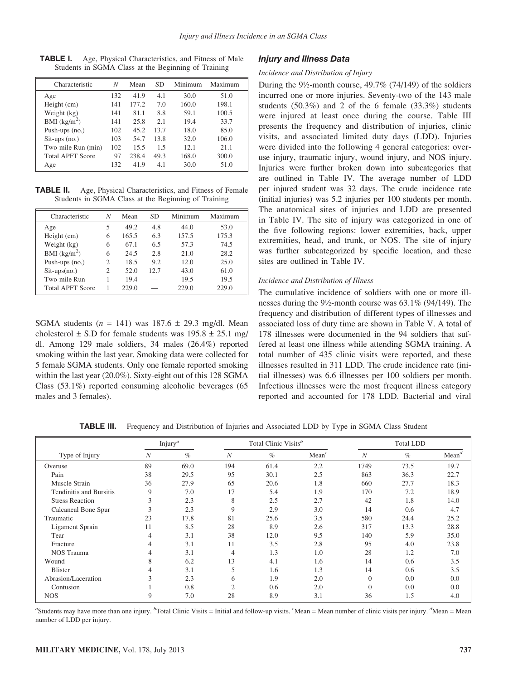| Characteristic          | N   | Mean  | SD   | Minimum | Maximum |  |
|-------------------------|-----|-------|------|---------|---------|--|
| Age                     | 132 | 41.9  | 4.1  | 30.0    | 51.0    |  |
| Height (cm)             | 141 | 177.2 | 7.0  | 160.0   | 198.1   |  |
| Weight (kg)             | 141 | 81.1  | 8.8  | 59.1    | 100.5   |  |
| BMI $(kg/m^2)$          | 141 | 25.8  | 2.1  | 19.4    | 33.7    |  |
| Push-ups (no.)          | 102 | 45.2  | 13.7 | 18.0    | 85.0    |  |
| $Sit-ups (no.)$         | 103 | 54.7  | 13.8 | 32.0    | 106.0   |  |
| Two-mile Run (min)      | 102 | 15.5  | 1.5  | 12.1    | 21.1    |  |
| <b>Total APFT Score</b> | 97  | 238.4 | 49.3 | 168.0   | 300.0   |  |
| Age                     | 132 | 41.9  | 4.1  | 30.0    | 51.0    |  |

TABLE I. Age, Physical Characteristics, and Fitness of Male Students in SGMA Class at the Beginning of Training

TABLE II. Age, Physical Characteristics, and Fitness of Female Students in SGMA Class at the Beginning of Training

| Characteristic          | N | Mean  | SD   | Minimum | Maximum |
|-------------------------|---|-------|------|---------|---------|
| Age                     | 5 | 49.2  | 4.8  | 44.0    | 53.0    |
| Height (cm)             | 6 | 165.5 | 6.3  | 157.5   | 175.3   |
| Weight (kg)             | 6 | 67.1  | 6.5  | 57.3    | 74.5    |
| BMI $(kg/m2)$           | 6 | 24.5  | 2.8  | 21.0    | 28.2    |
| Push-ups (no.)          | 2 | 18.5  | 9.2  | 12.0    | 25.0    |
| $Sit-ups(no.)$          | 2 | 52.0  | 12.7 | 43.0    | 61.0    |
| Two-mile Run            |   | 19.4  |      | 19.5    | 19.5    |
| <b>Total APFT Score</b> |   | 229.0 |      | 229.0   | 229.0   |

SGMA students  $(n = 141)$  was  $187.6 \pm 29.3$  mg/dl. Mean cholesterol  $\pm$  S.D for female students was 195.8  $\pm$  25.1 mg/ dl. Among 129 male soldiers, 34 males (26.4%) reported smoking within the last year. Smoking data were collected for 5 female SGMA students. Only one female reported smoking within the last year (20.0%). Sixty-eight out of this 128 SGMA Class (53.1%) reported consuming alcoholic beverages (65 males and 3 females).

### Injury and Illness Data

#### Incidence and Distribution of Injury

During the 9½-month course, 49.7% (74/149) of the soldiers incurred one or more injuries. Seventy-two of the 143 male students (50.3%) and 2 of the 6 female (33.3%) students were injured at least once during the course. Table III presents the frequency and distribution of injuries, clinic visits, and associated limited duty days (LDD). Injuries were divided into the following 4 general categories: overuse injury, traumatic injury, wound injury, and NOS injury. Injuries were further broken down into subcategories that are outlined in Table IV. The average number of LDD per injured student was 32 days. The crude incidence rate (initial injuries) was 5.2 injuries per 100 students per month. The anatomical sites of injuries and LDD are presented in Table IV. The site of injury was categorized in one of the five following regions: lower extremities, back, upper extremities, head, and trunk, or NOS. The site of injury was further subcategorized by specific location, and these sites are outlined in Table IV.

#### Incidence and Distribution of Illness

The cumulative incidence of soldiers with one or more illnesses during the 9½-month course was 63.1% (94/149). The frequency and distribution of different types of illnesses and associated loss of duty time are shown in Table V. A total of 178 illnesses were documented in the 94 soldiers that suffered at least one illness while attending SGMA training. A total number of 435 clinic visits were reported, and these illnesses resulted in 311 LDD. The crude incidence rate (initial illnesses) was 6.6 illnesses per 100 soldiers per month. Infectious illnesses were the most frequent illness category reported and accounted for 178 LDD. Bacterial and viral

TABLE III. Frequency and Distribution of Injuries and Associated LDD by Type in SGMA Class Student

|                                |    | Injury <sup><math>a</math></sup> |                | Total Clinic Visits <sup>b</sup> |                   |          | <b>Total LDD</b> |                   |
|--------------------------------|----|----------------------------------|----------------|----------------------------------|-------------------|----------|------------------|-------------------|
| Type of Injury                 | N  | %                                | N              | $\%$                             | Mean <sup>c</sup> | N        | $\%$             | Mean <sup>d</sup> |
| Overuse                        | 89 | 69.0                             | 194            | 61.4                             | 2.2               | 1749     | 73.5             | 19.7              |
| Pain                           | 38 | 29.5                             | 95             | 30.1                             | 2.5               | 863      | 36.3             | 22.7              |
| Muscle Strain                  | 36 | 27.9                             | 65             | 20.6                             | 1.8               | 660      | 27.7             | 18.3              |
| <b>Tendinitis and Bursitis</b> | 9  | 7.0                              | 17             | 5.4                              | 1.9               | 170      | 7.2              | 18.9              |
| <b>Stress Reaction</b>         | 3  | 2.3                              | 8              | 2.5                              | 2.7               | 42       | 1.8              | 14.0              |
| Calcaneal Bone Spur            | 3  | 2.3                              | 9              | 2.9                              | 3.0               | 14       | 0.6              | 4.7               |
| Traumatic                      | 23 | 17.8                             | 81             | 25.6                             | 3.5               | 580      | 24.4             | 25.2              |
| Ligament Sprain                | 11 | 8.5                              | 28             | 8.9                              | 2.6               | 317      | 13.3             | 28.8              |
| Tear                           | 4  | 3.1                              | 38             | 12.0                             | 9.5               | 140      | 5.9              | 35.0              |
| Fracture                       | 4  | 3.1                              | 11             | 3.5                              | 2.8               | 95       | 4.0              | 23.8              |
| <b>NOS Trauma</b>              | 4  | 3.1                              | 4              | 1.3                              | 1.0               | 28       | 1.2              | 7.0               |
| Wound                          | 8  | 6.2                              | 13             | 4.1                              | 1.6               | 14       | 0.6              | 3.5               |
| Blister                        |    | 3.1                              | 5              | 1.6                              | 1.3               | 14       | 0.6              | 3.5               |
| Abrasion/Laceration            | 3  | 2.3                              | 6              | 1.9                              | 2.0               | $\Omega$ | 0.0              | 0.0               |
| Contusion                      |    | 0.8                              | $\mathfrak{D}$ | 0.6                              | 2.0               | $\Omega$ | 0.0              | 0.0               |
| <b>NOS</b>                     | 9  | 7.0                              | 28             | 8.9                              | 3.1               | 36       | 1.5              | 4.0               |

"Students may have more than one injury. <sup>b</sup>Total Clinic Visits = Initial and follow-up visits. "Mean = Mean number of clinic visits per injury. "Mean = Mean number of LDD per injury.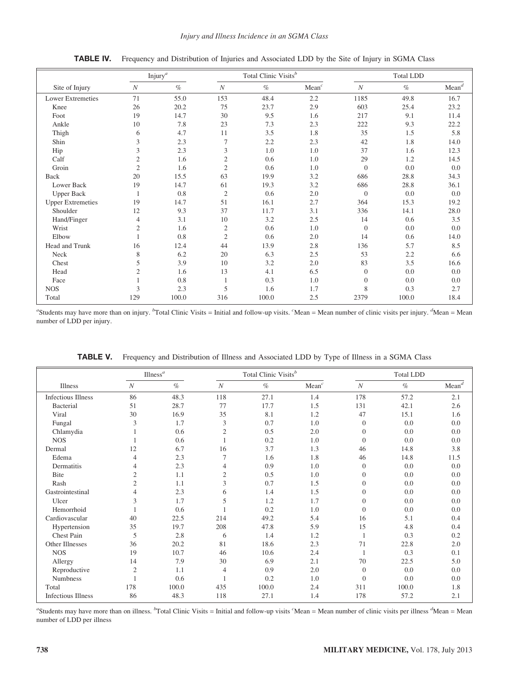|                          | Injury <sup><math>a</math></sup> |       |                  | Total Clinic Visits $^b$ |                   |                  | <b>Total LDD</b> |                   |  |
|--------------------------|----------------------------------|-------|------------------|--------------------------|-------------------|------------------|------------------|-------------------|--|
| Site of Injury           | $\boldsymbol{N}$                 | $\%$  | $\boldsymbol{N}$ | $\%$                     | Mean <sup>c</sup> | $\boldsymbol{N}$ | $\%$             | Mean <sup>d</sup> |  |
| <b>Lower Extremeties</b> | 71                               | 55.0  | 153              | 48.4                     | 2.2               | 1185             | 49.8             | 16.7              |  |
| Knee                     | 26                               | 20.2  | 75               | 23.7                     | 2.9               | 603              | 25.4             | 23.2              |  |
| Foot                     | 19                               | 14.7  | 30               | 9.5                      | 1.6               | 217              | 9.1              | 11.4              |  |
| Ankle                    | 10                               | 7.8   | 23               | 7.3                      | 2.3               | 222              | 9.3              | 22.2              |  |
| Thigh                    | 6                                | 4.7   | 11               | 3.5                      | 1.8               | 35               | 1.5              | 5.8               |  |
| Shin                     | 3                                | 2.3   | 7                | 2.2                      | 2.3               | 42               | 1.8              | 14.0              |  |
| Hip                      | 3                                | 2.3   | 3                | 1.0                      | 1.0               | 37               | 1.6              | 12.3              |  |
| Calf                     | $\overline{2}$                   | 1.6   | $\sqrt{2}$       | 0.6                      | 1.0               | 29               | 1.2              | 14.5              |  |
| Groin                    | $\overline{2}$                   | 1.6   | $\mathfrak{2}$   | 0.6                      | 1.0               | $\overline{0}$   | 0.0              | 0.0               |  |
| Back                     | 20                               | 15.5  | 63               | 19.9                     | 3.2               | 686              | 28.8             | 34.3              |  |
| <b>Lower Back</b>        | 19                               | 14.7  | 61               | 19.3                     | 3.2               | 686              | 28.8             | 36.1              |  |
| <b>Upper Back</b>        |                                  | 0.8   | $\mathfrak{2}$   | 0.6                      | 2.0               | $\overline{0}$   | 0.0              | 0.0               |  |
| <b>Upper Extremeties</b> | 19                               | 14.7  | 51               | 16.1                     | 2.7               | 364              | 15.3             | 19.2              |  |
| Shoulder                 | 12                               | 9.3   | 37               | 11.7                     | 3.1               | 336              | 14.1             | 28.0              |  |
| Hand/Finger              | $\overline{4}$                   | 3.1   | 10               | 3.2                      | 2.5               | 14               | 0.6              | 3.5               |  |
| Wrist                    | $\overline{2}$                   | 1.6   | $\mathfrak{2}$   | 0.6                      | 1.0               | $\overline{0}$   | 0.0              | 0.0               |  |
| Elbow                    |                                  | 0.8   | $\overline{2}$   | 0.6                      | 2.0               | 14               | 0.6              | 14.0              |  |
| Head and Trunk           | 16                               | 12.4  | 44               | 13.9                     | 2.8               | 136              | 5.7              | 8.5               |  |
| Neck                     | 8                                | 6.2   | 20               | 6.3                      | 2.5               | 53               | 2.2              | 6.6               |  |
| Chest                    | 5                                | 3.9   | 10               | 3.2                      | 2.0               | 83               | 3.5              | 16.6              |  |
| Head                     | $\overline{2}$                   | 1.6   | 13               | 4.1                      | 6.5               | $\Omega$         | 0.0              | 0.0               |  |
| Face                     |                                  | 0.8   |                  | 0.3                      | 1.0               | $\overline{0}$   | 0.0              | 0.0               |  |
| <b>NOS</b>               | 3                                | 2.3   | 5                | 1.6                      | 1.7               | 8                | 0.3              | 2.7               |  |
| Total                    | 129                              | 100.0 | 316              | 100.0                    | 2.5               | 2379             | 100.0            | 18.4              |  |

TABLE IV. Frequency and Distribution of Injuries and Associated LDD by the Site of Injury in SGMA Class

"Students may have more than on injury. <sup>b</sup>Total Clinic Visits = Initial and follow-up visits. "Mean = Mean number of clinic visits per injury. "Mean = Mean number of LDD per injury.

|                           |                  | Illness <sup><math>a</math></sup><br>Total Clinic Visits <sup>b</sup> |                  | <b>Total LDD</b> |                   |                  |       |                   |
|---------------------------|------------------|-----------------------------------------------------------------------|------------------|------------------|-------------------|------------------|-------|-------------------|
| Illness                   | $\boldsymbol{N}$ | $\%$                                                                  | $\boldsymbol{N}$ | $\%$             | Mean <sup>c</sup> | $\boldsymbol{N}$ | $\%$  | Mean <sup>d</sup> |
| <b>Infectious Illness</b> | 86               | 48.3                                                                  | 118              | 27.1             | 1.4               | 178              | 57.2  | 2.1               |
| <b>Bacterial</b>          | 51               | 28.7                                                                  | 77               | 17.7             | 1.5               | 131              | 42.1  | 2.6               |
| Viral                     | 30               | 16.9                                                                  | 35               | 8.1              | 1.2               | 47               | 15.1  | 1.6               |
| Fungal                    | 3                | 1.7                                                                   | 3                | 0.7              | 1.0               | $\mathbf{0}$     | 0.0   | 0.0               |
| Chlamydia                 |                  | 0.6                                                                   | $\overline{c}$   | 0.5              | 2.0               | $\mathbf{0}$     | 0.0   | 0.0               |
| <b>NOS</b>                |                  | 0.6                                                                   |                  | 0.2              | 1.0               | $\boldsymbol{0}$ | 0.0   | 0.0               |
| Dermal                    | 12               | 6.7                                                                   | 16               | 3.7              | 1.3               | 46               | 14.8  | 3.8               |
| Edema                     | $\overline{4}$   | 2.3                                                                   | 7                | 1.6              | 1.8               | 46               | 14.8  | 11.5              |
| Dermatitis                | $\overline{4}$   | 2.3                                                                   | $\overline{4}$   | 0.9              | 1.0               | $\mathbf{0}$     | 0.0   | 0.0               |
| <b>B</b> ite              | $\overline{2}$   | 1.1                                                                   | $\mathfrak{2}$   | 0.5              | 1.0               | $\mathbf{0}$     | 0.0   | 0.0               |
| Rash                      | $\overline{2}$   | 1.1                                                                   | 3                | 0.7              | 1.5               | $\mathbf{0}$     | 0.0   | 0.0               |
| Gastrointestinal          | 4                | 2.3                                                                   | 6                | 1.4              | 1.5               | $\Omega$         | 0.0   | 0.0               |
| Ulcer                     | 3                | 1.7                                                                   | 5                | 1.2              | 1.7               | $\mathbf{0}$     | 0.0   | 0.0               |
| Hemorrhoid                |                  | 0.6                                                                   |                  | 0.2              | 1.0               | $\boldsymbol{0}$ | 0.0   | 0.0               |
| Cardiovascular            | 40               | 22.5                                                                  | 214              | 49.2             | 5.4               | 16               | 5.1   | 0.4               |
| Hypertension              | 35               | 19.7                                                                  | 208              | 47.8             | 5.9               | 15               | 4.8   | 0.4               |
| Chest Pain                | 5                | 2.8                                                                   | 6                | 1.4              | 1.2               | $\mathbf{1}$     | 0.3   | $0.2\,$           |
| Other Illnesses           | 36               | 20.2                                                                  | 81               | 18.6             | 2.3               | 71               | 22.8  | 2.0               |
| <b>NOS</b>                | 19               | 10.7                                                                  | 46               | 10.6             | 2.4               | $\mathbf{1}$     | 0.3   | 0.1               |
| Allergy                   | 14               | 7.9                                                                   | 30               | 6.9              | 2.1               | 70               | 22.5  | 5.0               |
| Reproductive              | $\mathfrak{2}$   | 1.1                                                                   | $\overline{4}$   | 0.9              | 2.0               | $\theta$         | 0.0   | 0.0               |
| Numbness                  |                  | 0.6                                                                   | $\mathbf{1}$     | 0.2              | 1.0               | $\theta$         | 0.0   | 0.0               |
| Total                     | 178              | 100.0                                                                 | 435              | 100.0            | 2.4               | 311              | 100.0 | 1.8               |
| <b>Infectious Illness</b> | 86               | 48.3                                                                  | 118              | 27.1             | 1.4               | 178              | 57.2  | 2.1               |

TABLE V. Frequency and Distribution of Illness and Associated LDD by Type of Illness in a SGMA Class

"Students may have more than on illness. "Total Clinic Visits = Initial and follow-up visits "Mean = Mean number of clinic visits per illness "Mean = Mean number of LDD per illness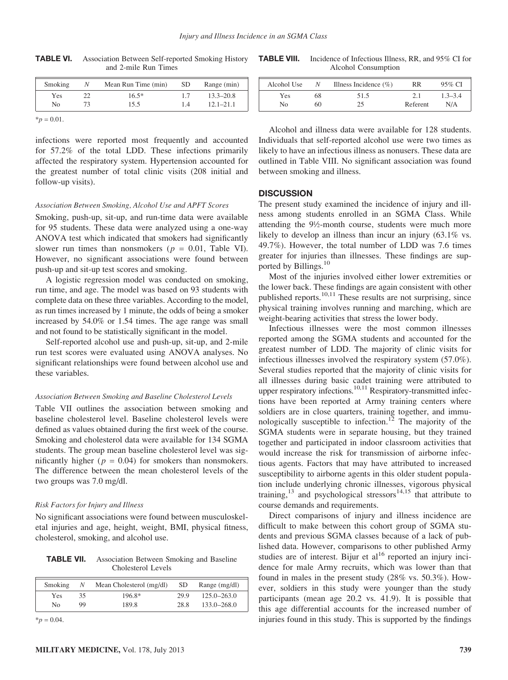| <b>Smoking</b> |    | Mean Run Time (min) | <b>SD</b> | Range (min)   |
|----------------|----|---------------------|-----------|---------------|
| Yes            |    | $16.5*$             | 1.7       | $13.3 - 20.8$ |
| No             | 73 | 15.5                | 14        | $12.1 - 21.1$ |

**TABLE VI.** Association Between Self-reported Smoking History **T** and 2-mile Run Times

 $*_{p} = 0.01$ .

infections were reported most frequently and accounted for 57.2% of the total LDD. These infections primarily affected the respiratory system. Hypertension accounted for the greatest number of total clinic visits (208 initial and follow-up visits).

#### Association Between Smoking, Alcohol Use and APFT Scores

Smoking, push-up, sit-up, and run-time data were available for 95 students. These data were analyzed using a one-way ANOVA test which indicated that smokers had significantly slower run times than nonsmokers ( $p = 0.01$ , Table VI). However, no significant associations were found between push-up and sit-up test scores and smoking.

A logistic regression model was conducted on smoking, run time, and age. The model was based on 93 students with complete data on these three variables. According to the model, as run times increased by 1 minute, the odds of being a smoker increased by 54.0% or 1.54 times. The age range was small and not found to be statistically significant in the model.

Self-reported alcohol use and push-up, sit-up, and 2-mile run test scores were evaluated using ANOVA analyses. No significant relationships were found between alcohol use and these variables.

#### Association Between Smoking and Baseline Cholesterol Levels

Table VII outlines the association between smoking and baseline cholesterol level. Baseline cholesterol levels were defined as values obtained during the first week of the course. Smoking and cholesterol data were available for 134 SGMA students. The group mean baseline cholesterol level was significantly higher ( $p = 0.04$ ) for smokers than nonsmokers. The difference between the mean cholesterol levels of the two groups was 7.0 mg/dl.

#### Risk Factors for Injury and Illness

No significant associations were found between musculoskeletal injuries and age, height, weight, BMI, physical fitness, cholesterol, smoking, and alcohol use.

TABLE VII. Association Between Smoking and Baseline Cholesterol Levels

| Smoking | N  | Mean Cholesterol (mg/dl) | <b>SD</b> | Range $(mg/dl)$ |
|---------|----|--------------------------|-----------|-----------------|
| Yes     | 35 | 196.8*                   | 29.9      | $125.0 - 263.0$ |
| No      | 99 | 189.8                    | 28.8      | $133.0 - 268.0$ |

 $*_{p} = 0.04$ .

| TABLE VIII. | Incidence of Infectious Illness, RR, and 95% CI for |
|-------------|-----------------------------------------------------|
|             | Alcohol Consumption                                 |

| Alcohol Use | Ν        | Illness Incidence $(\% )$ | RR       | 95% CI             |
|-------------|----------|---------------------------|----------|--------------------|
| Yes<br>Nο   | 68<br>60 | 51.5                      | Referent | $1.3 - 3.4$<br>N/A |

Alcohol and illness data were available for 128 students. Individuals that self-reported alcohol use were two times as likely to have an infectious illness as nonusers. These data are outlined in Table VIII. No significant association was found between smoking and illness.

#### **DISCUSSION**

The present study examined the incidence of injury and illness among students enrolled in an SGMA Class. While attending the 9½-month course, students were much more likely to develop an illness than incur an injury (63.1% vs. 49.7%). However, the total number of LDD was 7.6 times greater for injuries than illnesses. These findings are supported by Billings.<sup>10</sup>

Most of the injuries involved either lower extremities or the lower back. These findings are again consistent with other published reports.<sup>10,11</sup> These results are not surprising, since physical training involves running and marching, which are weight-bearing activities that stress the lower body.

Infectious illnesses were the most common illnesses reported among the SGMA students and accounted for the greatest number of LDD. The majority of clinic visits for infectious illnesses involved the respiratory system (57.0%). Several studies reported that the majority of clinic visits for all illnesses during basic cadet training were attributed to upper respiratory infections.<sup>10,11</sup> Respiratory-transmitted infections have been reported at Army training centers where soldiers are in close quarters, training together, and immunologically susceptible to infection.<sup>12</sup> The majority of the SGMA students were in separate housing, but they trained together and participated in indoor classroom activities that would increase the risk for transmission of airborne infectious agents. Factors that may have attributed to increased susceptibility to airborne agents in this older student population include underlying chronic illnesses, vigorous physical training, $13$  and psychological stressors $14,15$  that attribute to course demands and requirements.

Direct comparisons of injury and illness incidence are difficult to make between this cohort group of SGMA students and previous SGMA classes because of a lack of published data. However, comparisons to other published Army studies are of interest. Bijur et  $al^{16}$  reported an injury incidence for male Army recruits, which was lower than that found in males in the present study (28% vs. 50.3%). However, soldiers in this study were younger than the study participants (mean age 20.2 vs. 41.9). It is possible that this age differential accounts for the increased number of injuries found in this study. This is supported by the findings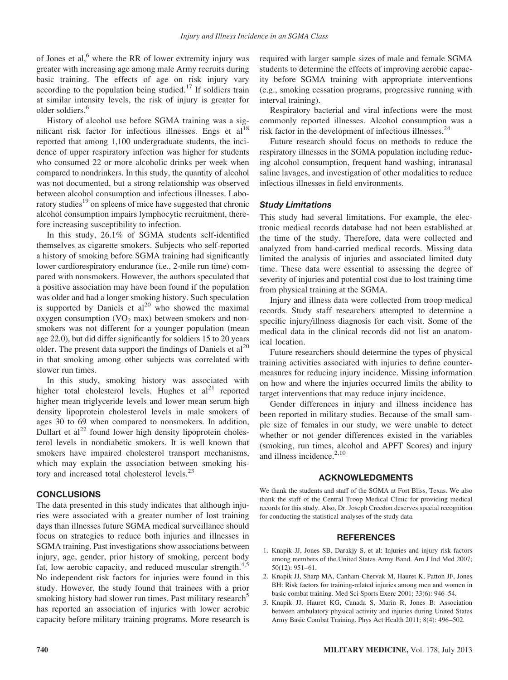of Jones et al, $6$  where the RR of lower extremity injury was greater with increasing age among male Army recruits during basic training. The effects of age on risk injury vary according to the population being studied.17 If soldiers train at similar intensity levels, the risk of injury is greater for older soldiers.<sup>6</sup>

History of alcohol use before SGMA training was a significant risk factor for infectious illnesses. Engs et  $al^{\overline{18}}$ reported that among 1,100 undergraduate students, the incidence of upper respiratory infection was higher for students who consumed 22 or more alcoholic drinks per week when compared to nondrinkers. In this study, the quantity of alcohol was not documented, but a strong relationship was observed between alcohol consumption and infectious illnesses. Laboratory studies<sup>19</sup> on spleens of mice have suggested that chronic alcohol consumption impairs lymphocytic recruitment, therefore increasing susceptibility to infection.

In this study, 26.1% of SGMA students self-identified themselves as cigarette smokers. Subjects who self-reported a history of smoking before SGMA training had significantly lower cardiorespiratory endurance (i.e., 2-mile run time) compared with nonsmokers. However, the authors speculated that a positive association may have been found if the population was older and had a longer smoking history. Such speculation is supported by Daniels et  $al^{20}$  who showed the maximal oxygen consumption  $(VO<sub>2</sub>$  max) between smokers and nonsmokers was not different for a younger population (mean age 22.0), but did differ significantly for soldiers 15 to 20 years older. The present data support the findings of Daniels et  $al^{20}$ in that smoking among other subjects was correlated with slower run times.

In this study, smoking history was associated with higher total cholesterol levels. Hughes et  $al<sup>21</sup>$  reported higher mean triglyceride levels and lower mean serum high density lipoprotein cholesterol levels in male smokers of ages 30 to 69 when compared to nonsmokers. In addition, Dullart et  $al<sup>22</sup>$  found lower high density lipoprotein cholesterol levels in nondiabetic smokers. It is well known that smokers have impaired cholesterol transport mechanisms, which may explain the association between smoking history and increased total cholesterol levels.<sup>23</sup>

#### **CONCLUSIONS**

The data presented in this study indicates that although injuries were associated with a greater number of lost training days than illnesses future SGMA medical surveillance should focus on strategies to reduce both injuries and illnesses in SGMA training. Past investigations show associations between injury, age, gender, prior history of smoking, percent body fat, low aerobic capacity, and reduced muscular strength.<sup>4,5</sup> No independent risk factors for injuries were found in this study. However, the study found that trainees with a prior smoking history had slower run times. Past military research<sup>5</sup> has reported an association of injuries with lower aerobic capacity before military training programs. More research is required with larger sample sizes of male and female SGMA students to determine the effects of improving aerobic capacity before SGMA training with appropriate interventions (e.g., smoking cessation programs, progressive running with interval training).

Respiratory bacterial and viral infections were the most commonly reported illnesses. Alcohol consumption was a risk factor in the development of infectious illnesses.<sup>24</sup>

Future research should focus on methods to reduce the respiratory illnesses in the SGMA population including reducing alcohol consumption, frequent hand washing, intranasal saline lavages, and investigation of other modalities to reduce infectious illnesses in field environments.

### Study Limitations

This study had several limitations. For example, the electronic medical records database had not been established at the time of the study. Therefore, data were collected and analyzed from hand-carried medical records. Missing data limited the analysis of injuries and associated limited duty time. These data were essential to assessing the degree of severity of injuries and potential cost due to lost training time from physical training at the SGMA.

Injury and illness data were collected from troop medical records. Study staff researchers attempted to determine a specific injury/illness diagnosis for each visit. Some of the medical data in the clinical records did not list an anatomical location.

Future researchers should determine the types of physical training activities associated with injuries to define countermeasures for reducing injury incidence. Missing information on how and where the injuries occurred limits the ability to target interventions that may reduce injury incidence.

Gender differences in injury and illness incidence has been reported in military studies. Because of the small sample size of females in our study, we were unable to detect whether or not gender differences existed in the variables (smoking, run times, alcohol and APFT Scores) and injury and illness incidence.<sup>2,10</sup>

#### ACKNOWLEDGMENTS

We thank the students and staff of the SGMA at Fort Bliss, Texas. We also thank the staff of the Central Troop Medical Clinic for providing medical records for this study. Also, Dr. Joseph Creedon deserves special recognition for conducting the statistical analyses of the study data.

#### **REFERENCES**

- 1. Knapik JJ, Jones SB, Darakjy S, et al: Injuries and injury risk factors among members of the United States Army Band. Am J Ind Med 2007; 50(12): 951–61.
- 2. Knapik JJ, Sharp MA, Canham-Chervak M, Hauret K, Patton JF, Jones BH: Risk factors for training-related injuries among men and women in basic combat training. Med Sci Sports Exerc 2001; 33(6): 946–54.
- 3. Knapik JJ, Hauret KG, Canada S, Marin R, Jones B: Association between ambulatory physical activity and injuries during United States Army Basic Combat Training. Phys Act Health 2011; 8(4): 496–502.